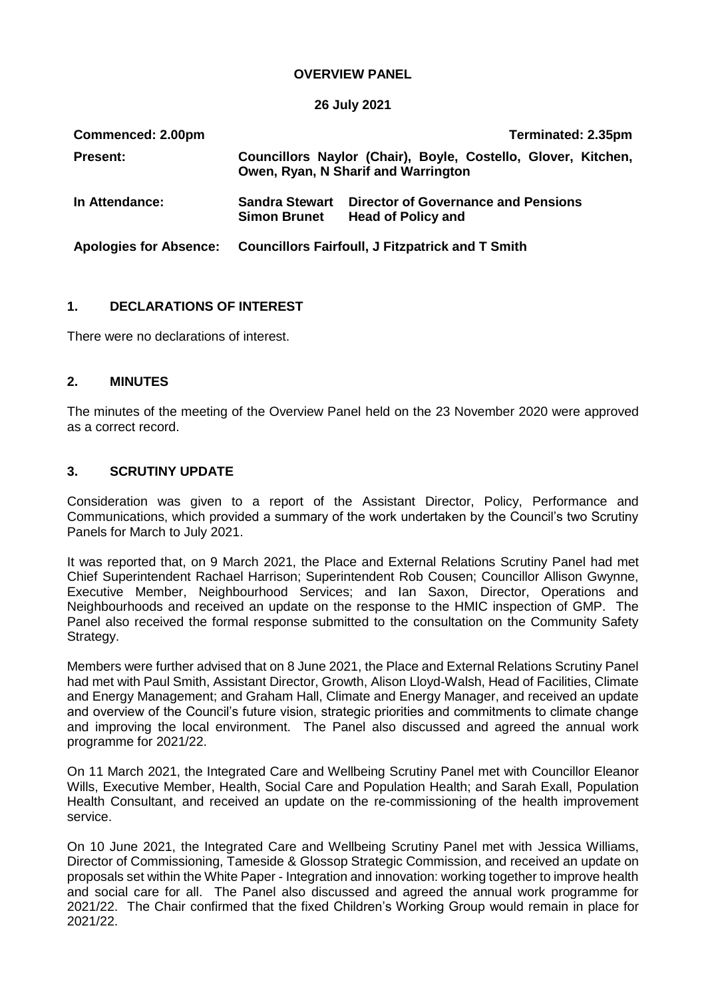#### **OVERVIEW PANEL**

**26 July 2021**

| Commenced: 2.00pm |                                                                                                      | Terminated: 2.35pm                                                      |
|-------------------|------------------------------------------------------------------------------------------------------|-------------------------------------------------------------------------|
| <b>Present:</b>   | Councillors Naylor (Chair), Boyle, Costello, Glover, Kitchen,<br>Owen, Ryan, N Sharif and Warrington |                                                                         |
| In Attendance:    | <b>Sandra Stewart</b><br><b>Simon Brunet</b>                                                         | <b>Director of Governance and Pensions</b><br><b>Head of Policy and</b> |
|                   | Apologies for Absence: Councillors Fairfoull, J Fitzpatrick and T Smith                              |                                                                         |

# **1. DECLARATIONS OF INTEREST**

There were no declarations of interest.

#### **2. MINUTES**

The minutes of the meeting of the Overview Panel held on the 23 November 2020 were approved as a correct record.

#### **3. SCRUTINY UPDATE**

Consideration was given to a report of the Assistant Director, Policy, Performance and Communications, which provided a summary of the work undertaken by the Council's two Scrutiny Panels for March to July 2021.

It was reported that, on 9 March 2021, the Place and External Relations Scrutiny Panel had met Chief Superintendent Rachael Harrison; Superintendent Rob Cousen; Councillor Allison Gwynne, Executive Member, Neighbourhood Services; and Ian Saxon, Director, Operations and Neighbourhoods and received an update on the response to the HMIC inspection of GMP. The Panel also received the formal response submitted to the consultation on the Community Safety Strategy.

Members were further advised that on 8 June 2021, the Place and External Relations Scrutiny Panel had met with Paul Smith, Assistant Director, Growth, Alison Lloyd-Walsh, Head of Facilities, Climate and Energy Management; and Graham Hall, Climate and Energy Manager, and received an update and overview of the Council's future vision, strategic priorities and commitments to climate change and improving the local environment. The Panel also discussed and agreed the annual work programme for 2021/22.

On 11 March 2021, the Integrated Care and Wellbeing Scrutiny Panel met with Councillor Eleanor Wills, Executive Member, Health, Social Care and Population Health; and Sarah Exall, Population Health Consultant, and received an update on the re-commissioning of the health improvement service.

On 10 June 2021, the Integrated Care and Wellbeing Scrutiny Panel met with Jessica Williams, Director of Commissioning, Tameside & Glossop Strategic Commission, and received an update on proposals set within the White Paper - Integration and innovation: working together to improve health and social care for all. The Panel also discussed and agreed the annual work programme for 2021/22. The Chair confirmed that the fixed Children's Working Group would remain in place for 2021/22.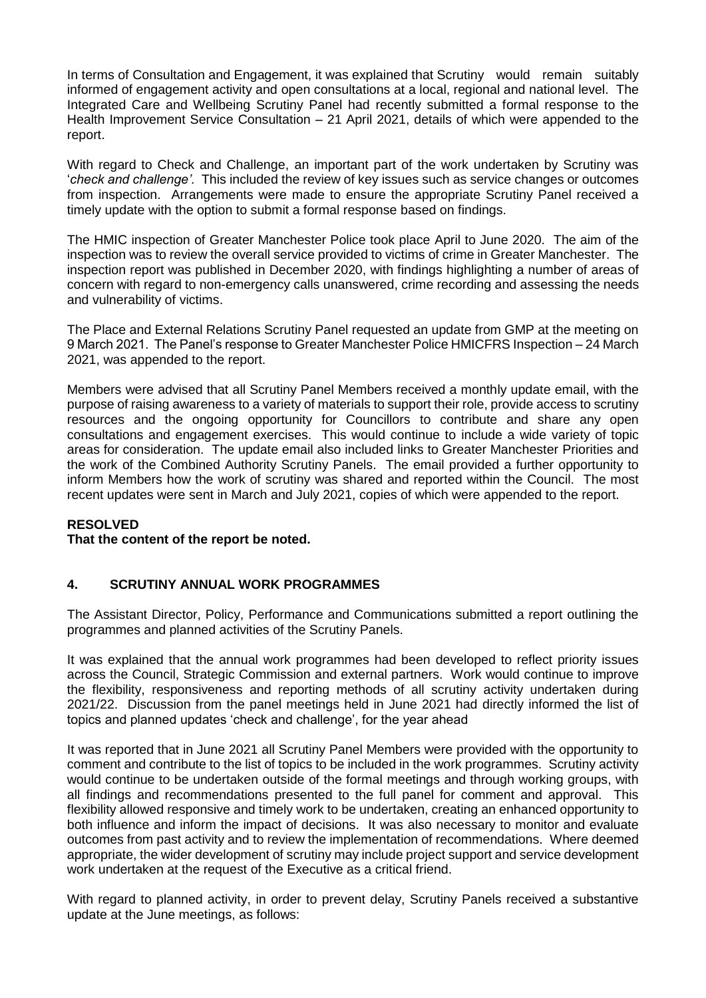In terms of Consultation and Engagement, it was explained that Scrutiny would remain suitably informed of engagement activity and open consultations at a local, regional and national level. The Integrated Care and Wellbeing Scrutiny Panel had recently submitted a formal response to the Health Improvement Service Consultation – 21 April 2021, details of which were appended to the report.

With regard to Check and Challenge, an important part of the work undertaken by Scrutiny was '*check and challenge'*. This included the review of key issues such as service changes or outcomes from inspection. Arrangements were made to ensure the appropriate Scrutiny Panel received a timely update with the option to submit a formal response based on findings.

The HMIC inspection of Greater Manchester Police took place April to June 2020. The aim of the inspection was to review the overall service provided to victims of crime in Greater Manchester. The inspection report was published in December 2020, with findings highlighting a number of areas of concern with regard to non-emergency calls unanswered, crime recording and assessing the needs and vulnerability of victims.

The Place and External Relations Scrutiny Panel requested an update from GMP at the meeting on 9 March 2021. The Panel's response to Greater Manchester Police HMICFRS Inspection – 24 March 2021, was appended to the report.

Members were advised that all Scrutiny Panel Members received a monthly update email, with the purpose of raising awareness to a variety of materials to support their role, provide access to scrutiny resources and the ongoing opportunity for Councillors to contribute and share any open consultations and engagement exercises. This would continue to include a wide variety of topic areas for consideration. The update email also included links to Greater Manchester Priorities and the work of the Combined Authority Scrutiny Panels. The email provided a further opportunity to inform Members how the work of scrutiny was shared and reported within the Council. The most recent updates were sent in March and July 2021, copies of which were appended to the report.

# **RESOLVED**

# **That the content of the report be noted.**

# **4. SCRUTINY ANNUAL WORK PROGRAMMES**

The Assistant Director, Policy, Performance and Communications submitted a report outlining the programmes and planned activities of the Scrutiny Panels.

It was explained that the annual work programmes had been developed to reflect priority issues across the Council, Strategic Commission and external partners. Work would continue to improve the flexibility, responsiveness and reporting methods of all scrutiny activity undertaken during 2021/22. Discussion from the panel meetings held in June 2021 had directly informed the list of topics and planned updates 'check and challenge', for the year ahead

It was reported that in June 2021 all Scrutiny Panel Members were provided with the opportunity to comment and contribute to the list of topics to be included in the work programmes. Scrutiny activity would continue to be undertaken outside of the formal meetings and through working groups, with all findings and recommendations presented to the full panel for comment and approval. This flexibility allowed responsive and timely work to be undertaken, creating an enhanced opportunity to both influence and inform the impact of decisions. It was also necessary to monitor and evaluate outcomes from past activity and to review the implementation of recommendations. Where deemed appropriate, the wider development of scrutiny may include project support and service development work undertaken at the request of the Executive as a critical friend.

With regard to planned activity, in order to prevent delay, Scrutiny Panels received a substantive update at the June meetings, as follows: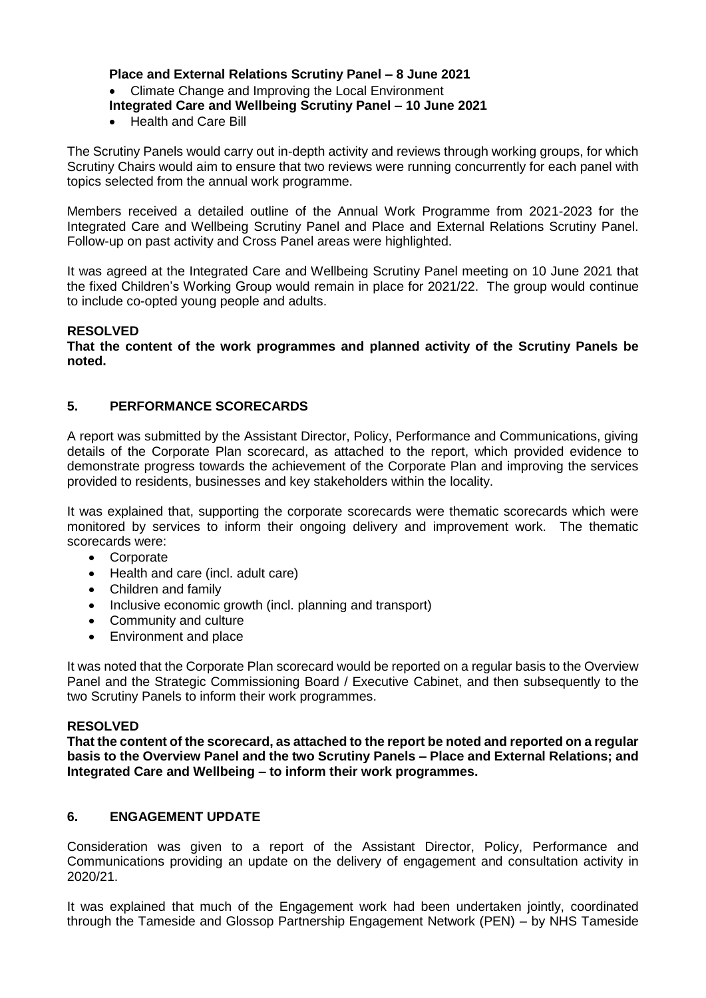# **Place and External Relations Scrutiny Panel – 8 June 2021**

• Climate Change and Improving the Local Environment

# **Integrated Care and Wellbeing Scrutiny Panel – 10 June 2021**

• Health and Care Bill

The Scrutiny Panels would carry out in-depth activity and reviews through working groups, for which Scrutiny Chairs would aim to ensure that two reviews were running concurrently for each panel with topics selected from the annual work programme.

Members received a detailed outline of the Annual Work Programme from 2021-2023 for the Integrated Care and Wellbeing Scrutiny Panel and Place and External Relations Scrutiny Panel. Follow-up on past activity and Cross Panel areas were highlighted.

It was agreed at the Integrated Care and Wellbeing Scrutiny Panel meeting on 10 June 2021 that the fixed Children's Working Group would remain in place for 2021/22. The group would continue to include co-opted young people and adults.

# **RESOLVED**

**That the content of the work programmes and planned activity of the Scrutiny Panels be noted.**

# **5. PERFORMANCE SCORECARDS**

A report was submitted by the Assistant Director, Policy, Performance and Communications, giving details of the Corporate Plan scorecard, as attached to the report, which provided evidence to demonstrate progress towards the achievement of the Corporate Plan and improving the services provided to residents, businesses and key stakeholders within the locality.

It was explained that, supporting the corporate scorecards were thematic scorecards which were monitored by services to inform their ongoing delivery and improvement work. The thematic scorecards were:

- Corporate
- Health and care (incl. adult care)
- Children and family
- Inclusive economic growth (incl. planning and transport)
- Community and culture
- Environment and place

It was noted that the Corporate Plan scorecard would be reported on a regular basis to the Overview Panel and the Strategic Commissioning Board / Executive Cabinet, and then subsequently to the two Scrutiny Panels to inform their work programmes.

# **RESOLVED**

**That the content of the scorecard, as attached to the report be noted and reported on a regular basis to the Overview Panel and the two Scrutiny Panels – Place and External Relations; and Integrated Care and Wellbeing – to inform their work programmes.**

# **6. ENGAGEMENT UPDATE**

Consideration was given to a report of the Assistant Director, Policy, Performance and Communications providing an update on the delivery of engagement and consultation activity in 2020/21.

It was explained that much of the Engagement work had been undertaken jointly, coordinated through the Tameside and Glossop Partnership Engagement Network (PEN) – by NHS Tameside